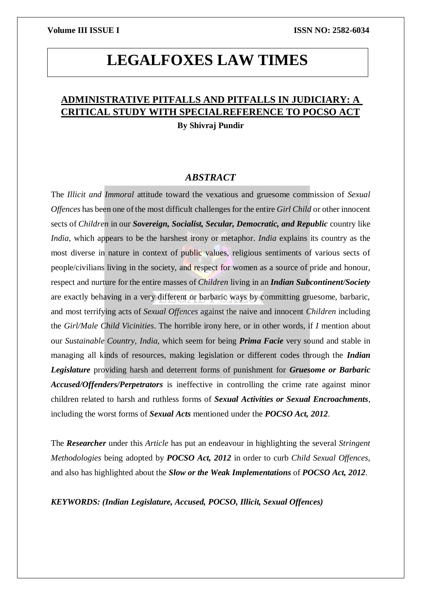# **LEGALFOXES LAW TIMES**

## **ADMINISTRATIVE PITFALLS AND PITFALLS IN JUDICIARY: A CRITICAL STUDY WITH SPECIALREFERENCE TO POCSO ACT**

**By Shivraj Pundir**

### *ABSTRACT*

The *Illicit and Immoral* attitude toward the vexatious and gruesome commission of *Sexual Offences* has been one of the most difficult challenges for the entire *Girl Child* or other innocent sects of *Children* in our *Sovereign, Socialist, Secular, Democratic, and Republic* country like *India*, which appears to be the harshest irony or metaphor. *India* explains its country as the most diverse in nature in context of public values, religious sentiments of various sects of people/civilians living in the society, and respect for women as a source of pride and honour, respect and nurture for the entire masses of *Children* living in an *Indian Subcontinent/Society* are exactly behaving in a very different or barbaric ways by committing gruesome, barbaric, and most terrifying acts of *Sexual Offences* against the naive and innocent *Children* including the *Girl/Male Child Vicinities*. The horrible irony here, or in other words, if *I* mention about our *Sustainable Country*, *India*, which seem for being *Prima Facie* very sound and stable in managing all kinds of resources, making legislation or different codes through the *Indian Legislature* providing harsh and deterrent forms of punishment for *Gruesome or Barbaric Accused/Offenders/Perpetrators* is ineffective in controlling the crime rate against minor children related to harsh and ruthless forms of *Sexual Activities or Sexual Encroachments*, including the worst forms of *Sexual Acts* mentioned under the *POCSO Act, 2012*.

The *Researcher* under this *Article* has put an endeavour in highlighting the several *Stringent Methodologies* being adopted by *POCSO Act, 2012* in order to curb *Child Sexual Offences*, and also has highlighted about the *Slow or the Weak Implementations* of *POCSO Act, 2012*.

*KEYWORDS: (Indian Legislature, Accused, POCSO, Illicit, Sexual Offences)*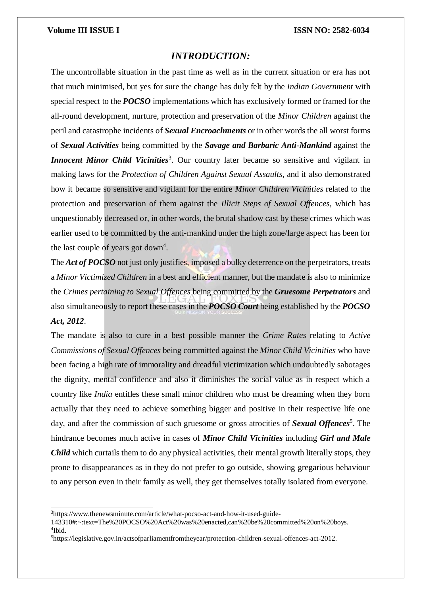### *INTRODUCTION:*

The uncontrollable situation in the past time as well as in the current situation or era has not that much minimised, but yes for sure the change has duly felt by the *Indian Government* with special respect to the *POCSO* implementations which has exclusively formed or framed for the all-round development, nurture, protection and preservation of the *Minor Children* against the peril and catastrophe incidents of *Sexual Encroachments* or in other words the all worst forms of *Sexual Activities* being committed by the *Savage and Barbaric Anti-Mankind* against the **Innocent Minor Child Vicinities**<sup>3</sup>. Our country later became so sensitive and vigilant in making laws for the *Protection of Children Against Sexual Assaults*, and it also demonstrated how it became so sensitive and vigilant for the entire *Minor Children Vicinities* related to the protection and preservation of them against the *Illicit Steps of Sexual Offences*, which has unquestionably decreased or, in other words, the brutal shadow cast by these crimes which was earlier used to be committed by the anti-mankind under the high zone/large aspect has been for the last couple of years got down<sup>4</sup>.

The *Act of POCSO* not just only justifies, imposed a bulky deterrence on the perpetrators, treats a *Minor Victimized Children* in a best and efficient manner, but the mandate is also to minimize the *Crimes pertaining to Sexual Offences* being committed by the *Gruesome Perpetrators* and also simultaneously to report these cases in the *POCSO Court* being established by the *POCSO Act, 2012*.

The mandate is also to cure in a best possible manner the *Crime Rates* relating to *Active Commissions of Sexual Offences* being committed against the *Minor Child Vicinities* who have been facing a high rate of immorality and dreadful victimization which undoubtedly sabotages the dignity, mental confidence and also it diminishes the social value as in respect which a country like *India* entitles these small minor children who must be dreaming when they born actually that they need to achieve something bigger and positive in their respective life one day, and after the commission of such gruesome or gross atrocities of *Sexual Offences*<sup>5</sup>. The hindrance becomes much active in cases of *Minor Child Vicinities* including *Girl and Male Child* which curtails them to do any physical activities, their mental growth literally stops, they prone to disappearances as in they do not prefer to go outside, showing gregarious behaviour to any person even in their family as well, they get themselves totally isolated from everyone.

<sup>3</sup>http[s://www.thenewsminute.com/article/what-pocso-act-and-how-it-used-guide-](http://www.thenewsminute.com/article/what-pocso-act-and-how-it-used-guide-)

<sup>143310#:~:</sup>text=The%20POCSO%20Act%20was%20enacted,can%20be%20committed%20on%20boys. 4 Ibid.

<sup>5</sup>https://legislative.gov.in/actsofparliamentfromtheyear/protection-children-sexual-offences-act-2012.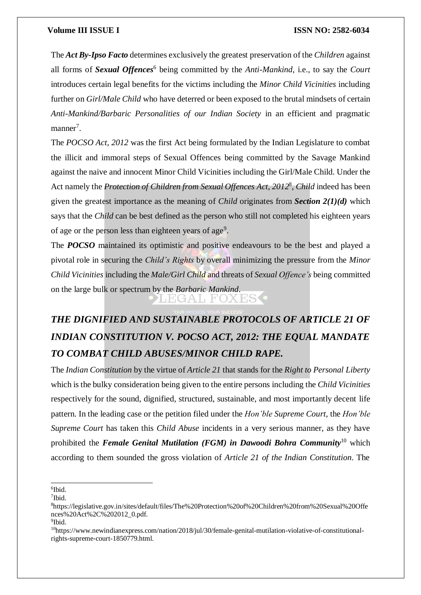The *Act By-Ipso Facto* determines exclusively the greatest preservation of the *Children* against all forms of *Sexual Offences*<sup>6</sup> being committed by the *Anti-Mankind*, i.e., to say the *Court* introduces certain legal benefits for the victims including the *Minor Child Vicinities* including further on *Girl/Male Child* who have deterred or been exposed to the brutal mindsets of certain *Anti-Mankind/Barbaric Personalities of our Indian Society* in an efficient and pragmatic manner<sup>7</sup>.

The *POCSO Act, 2012* was the first Act being formulated by the Indian Legislature to combat the illicit and immoral steps of Sexual Offences being committed by the Savage Mankind against the naive and innocent Minor Child Vicinities including the Girl/Male Child. Under the Act namely the *Protection of Children from Sexual Offences Act, 2012*<sup>8</sup> , *Child* indeed has been given the greatest importance as the meaning of *Child* originates from *Section 2(1)(d)* which says that the *Child* can be best defined as the person who still not completed his eighteen years of age or the person less than eighteen years of age<sup>9</sup>.

The *POCSO* maintained its optimistic and positive endeavours to be the best and played a pivotal role in securing the *Child's Rights* by overall minimizing the pressure from the *Minor Child Vicinities* including the *Male/Girl Child* and threats of *Sexual Offence's* being committed on the large bulk or spectrum by the *Barbaric Mankind*.

LEGAL FOXESS

# *THE DIGNIFIED AND SUSTAINABLE PROTOCOLS OF ARTICLE 21 OF INDIAN CONSTITUTION V. POCSO ACT, 2012: THE EQUAL MANDATE TO COMBAT CHILD ABUSES/MINOR CHILD RAPE.*

The *Indian Constitution* by the virtue of *Article 21* that stands for the *Right to Personal Liberty* which is the bulky consideration being given to the entire persons including the *Child Vicinities* respectively for the sound, dignified, structured, sustainable, and most importantly decent life pattern. In the leading case or the petition filed under the *Hon'ble Supreme Court*, the *Hon'ble Supreme Court* has taken this *Child Abuse* incidents in a very serious manner, as they have prohibited the *Female Genital Mutilation (FGM) in Dawoodi Bohra Community*<sup>10</sup> which according to them sounded the gross violation of *Article 21 of the Indian Constitution*. The

6 Ibid.

<sup>7</sup> Ibid.

<sup>8</sup>https://legislative.gov.in/sites/default/files/The%20Protection%20of%20Children%20from%20Sexual%20Offe nces%20Act%2C%202012\_0.pdf.

<sup>9</sup> Ibid.

<sup>10</sup>http[s://www.newindianexpress.com/nation/2018/jul/30/female-genital-mutilation-violative-of-constitutional](http://www.newindianexpress.com/nation/2018/jul/30/female-genital-mutilation-violative-of-constitutional-)rights-supreme-court-1850779.html.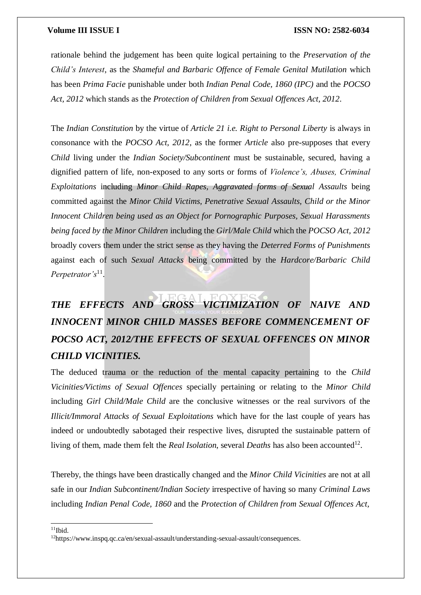rationale behind the judgement has been quite logical pertaining to the *Preservation of the Child's Interest*, as the *Shameful and Barbaric Offence of Female Genital Mutilation* which has been *Prima Facie* punishable under both *Indian Penal Code, 1860 (IPC)* and the *POCSO Act, 2012* which stands as the *Protection of Children from Sexual Offences Act, 2012*.

The *Indian Constitution* by the virtue of *Article 21 i.e. Right to Personal Liberty* is always in consonance with the *POCSO Act, 2012*, as the former *Article* also pre-supposes that every *Child* living under the *Indian Society/Subcontinent* must be sustainable, secured, having a dignified pattern of life, non-exposed to any sorts or forms of *Violence's, Abuses, Criminal Exploitations* including *Minor Child Rapes, Aggravated forms of Sexual Assaults* being committed against the *Minor Child Victims, Penetrative Sexual Assaults, Child or the Minor Innocent Children being used as an Object for Pornographic Purposes, Sexual Harassments being faced by the Minor Children* including the *Girl/Male Child* which the *POCSO Act, 2012* broadly covers them under the strict sense as they having the *Deterred Forms of Punishments* against each of such *Sexual Attacks* being committed by the *Hardcore/Barbaric Child Perpetrator's*<sup>11</sup> .

# *THE EFFECTS AND GROSS VICTIMIZATION OF NAIVE AND INNOCENT MINOR CHILD MASSES BEFORE COMMENCEMENT OF POCSO ACT, 2012/THE EFFECTS OF SEXUAL OFFENCES ON MINOR CHILD VICINITIES.*

The deduced trauma or the reduction of the mental capacity pertaining to the *Child Vicinities/Victims of Sexual Offences* specially pertaining or relating to the *Minor Child* including *Girl Child/Male Child* are the conclusive witnesses or the real survivors of the *Illicit/Immoral Attacks of Sexual Exploitations* which have for the last couple of years has indeed or undoubtedly sabotaged their respective lives, disrupted the sustainable pattern of living of them, made them felt the *Real Isolation*, several *Deaths* has also been accounted<sup>12</sup>.

Thereby, the things have been drastically changed and the *Minor Child Vicinities* are not at all safe in our *Indian Subcontinent/Indian Society* irrespective of having so many *Criminal Laws* including *Indian Penal Code, 1860* and the *Protection of Children from Sexual Offences Act,*

 $11$ Ibid.

<sup>12</sup>http[s://www.i](http://www.inspq.qc.ca/en/sexual-assault/understanding-sexual-assault/consequences)n[spq.qc.ca/en/sexual-assault/understanding-sexual-assault/consequences.](http://www.inspq.qc.ca/en/sexual-assault/understanding-sexual-assault/consequences)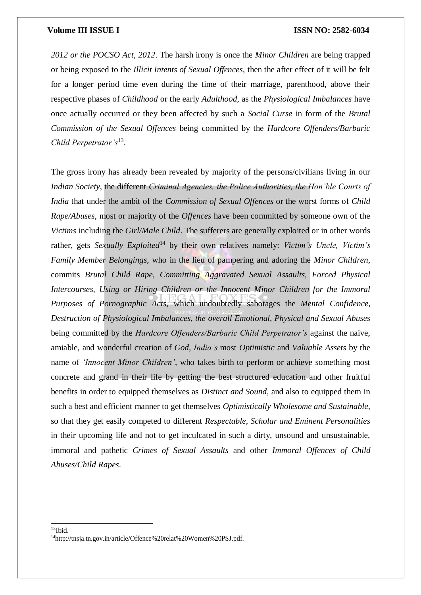*2012 or the POCSO Act, 2012*. The harsh irony is once the *Minor Children* are being trapped or being exposed to the *Illicit Intents of Sexual Offences*, then the after effect of it will be felt for a longer period time even during the time of their marriage, parenthood, above their respective phases of *Childhood* or the early *Adulthood*, as the *Physiological Imbalances* have once actually occurred or they been affected by such a *Social Curse* in form of the *Brutal Commission of the Sexual Offences* being committed by the *Hardcore Offenders/Barbaric Child Perpetrator's*<sup>13</sup> .

The gross irony has already been revealed by majority of the persons/civilians living in our *Indian Society*, the different *Criminal Agencies, the Police Authorities, the Hon'ble Courts of India* that under the ambit of the *Commission of Sexual Offences* or the worst forms of *Child Rape/Abuses*, most or majority of the *Offences* have been committed by someone own of the *Victims* including the *Girl/Male Child*. The sufferers are generally exploited or in other words rather, gets *Sexually Exploited*<sup>14</sup> by their own relatives namely: *Victim's Uncle, Victim's Family Member Belongings*, who in the lieu of pampering and adoring the *Minor Children*, commits *Brutal Child Rape, Committing Aggravated Sexual Assaults, Forced Physical Intercourses, Using or Hiring Children or the Innocent Minor Children for the Immoral Purposes of Pornographic Acts*, which undoubtedly sabotages the *Mental Confidence, Destruction of Physiological Imbalances, the overall Emotional, Physical and Sexual Abuses* being committed by the *Hardcore Offenders/Barbaric Child Perpetrator's* against the naive, amiable, and wonderful creation of *God*, *India's* most *Optimistic* and *Valuable Assets* by the name of *'Innocent Minor Children'*, who takes birth to perform or achieve something most concrete and grand in their life by getting the best structured education and other fruitful benefits in order to equipped themselves as *Distinct and Sound*, and also to equipped them in such a best and efficient manner to get themselves *Optimistically Wholesome and Sustainable*, so that they get easily competed to different *Respectable, Scholar and Eminent Personalities* in their upcoming life and not to get inculcated in such a dirty, unsound and unsustainable, immoral and pathetic *Crimes of Sexual Assaults* and other *Immoral Offences of Child Abuses/Child Rapes*.

 $13$ Ibid.

<sup>14</sup>[http://tnsja.tn.gov.in/article/Offence%20relat%20Women%20PSJ.pdf.](http://tnsja.tn.gov.in/article/Offence%20relat%20Women%20PSJ.pdf)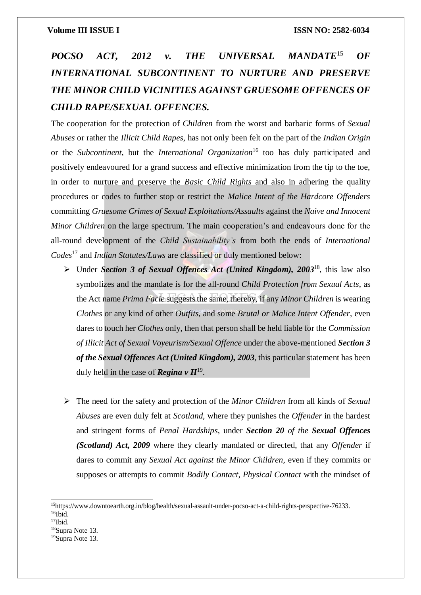## *POCSO ACT, 2012 v. THE UNIVERSAL MANDATE*<sup>15</sup> *OF INTERNATIONAL SUBCONTINENT TO NURTURE AND PRESERVE THE MINOR CHILD VICINITIES AGAINST GRUESOME OFFENCES OF CHILD RAPE/SEXUAL OFFENCES.*

The cooperation for the protection of *Children* from the worst and barbaric forms of *Sexual Abuses* or rather the *Illicit Child Rapes*, has not only been felt on the part of the *Indian Origin* or the *Subcontinent*, but the *International Organization*<sup>16</sup> too has duly participated and positively endeavoured for a grand success and effective minimization from the tip to the toe, in order to nurture and preserve the *Basic Child Rights* and also in adhering the quality procedures or codes to further stop or restrict the *Malice Intent of the Hardcore Offenders* committing *Gruesome Crimes of Sexual Exploitations/Assaults* against the *Naive and Innocent Minor Children* on the large spectrum. The main cooperation's and endeavours done for the all-round development of the *Child Sustainability's* from both the ends of *International Codes*<sup>17</sup> and *Indian Statutes/Laws* are classified or duly mentioned below:

- Under *Section 3 of Sexual Offences Act (United Kingdom), 2003*<sup>18</sup>, this law also symbolizes and the mandate is for the all-round *Child Protection from Sexual Acts*, as the Act name *Prima Facie* suggests the same, thereby, if any *Minor Children* is wearing *Clothes* or any kind of other *Outfits*, and some *Brutal or Malice Intent Offender*, even dares to touch her *Clothes* only, then that person shall be held liable for the *Commission of Illicit Act of Sexual Voyeurism/Sexual Offence* under the above-mentioned *Section 3 of the Sexual Offences Act (United Kingdom), 2003*, this particular statement has been duly held in the case of *Regina v H*<sup>19</sup> .
- The need for the safety and protection of the *Minor Children* from all kinds of *Sexual Abuses* are even duly felt at *Scotland*, where they punishes the *Offender* in the hardest and stringent forms of *Penal Hardships*, under *Section 20 of the Sexual Offences (Scotland) Act, 2009* where they clearly mandated or directed, that any *Offender* if dares to commit any *Sexual Act against the Minor Children*, even if they commits or supposes or attempts to commit *Bodily Contact, Physical Contact* with the mindset of

<sup>15</sup>http[s://www.downtoearth.org.in/blog/health/sexual-assault-under-pocso-act-a-child-rights-perspective-76233.](http://www.downtoearth.org.in/blog/health/sexual-assault-under-pocso-act-a-child-rights-perspective-76233) <sup>16</sup>Ibid.

 $17$ Ibid.

<sup>18</sup>Supra Note 13.

<sup>19</sup>Supra Note 13.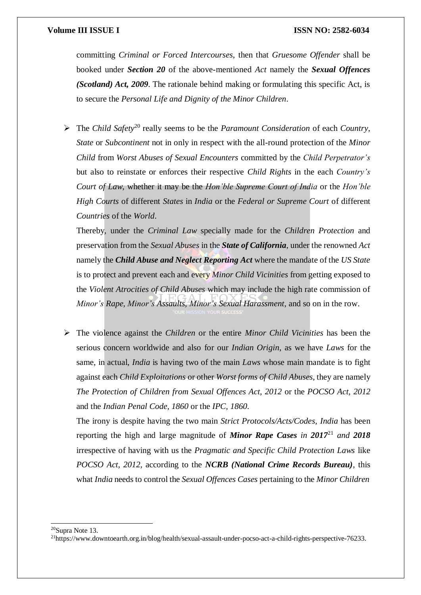committing *Criminal or Forced Intercourses*, then that *Gruesome Offender* shall be booked under *Section 20* of the above-mentioned *Act* namely the *Sexual Offences (Scotland) Act, 2009*. The rationale behind making or formulating this specific Act, is to secure the *Personal Life and Dignity of the Minor Children*.

 The *Child Safety*<sup>20</sup> really seems to be the *Paramount Consideration* of each *Country*, *State* or *Subcontinent* not in only in respect with the all-round protection of the *Minor Child* from *Worst Abuses of Sexual Encounters* committed by the *Child Perpetrator's* but also to reinstate or enforces their respective *Child Rights* in the each *Country's Court of Law*, whether it may be the *Hon'ble Supreme Court of India* or the *Hon'ble High Courts* of different *States* in *India* or the *Federal or Supreme Court* of different *Countries* of the *World*.

Thereby, under the *Criminal Law* specially made for the *Children Protection* and preservation from the *Sexual Abuses* in the *State of California*, under the renowned *Act* namely the *Child Abuse and Neglect Reporting Act* where the mandate of the *US State* is to protect and prevent each and every *Minor Child Vicinities* from getting exposed to the *Violent Atrocities of Child Abuses* which may include the high rate commission of *Minor's Rape, Minor's Assaults, Minor's Sexual Harassment*, and so on in the row.

 The violence against the *Children* or the entire *Minor Child Vicinities* has been the serious concern worldwide and also for our *Indian Origin*, as we have *Laws* for the same, in actual, *India* is having two of the main *Laws* whose main mandate is to fight against each *Child Exploitations* or other *Worst forms of Child Abuses*, they are namely *The Protection of Children from Sexual Offences Act, 2012* or the *POCSO Act, 2012* and the *Indian Penal Code, 1860* or the *IPC, 1860*.

The irony is despite having the two main *Strict Protocols/Acts/Codes*, *India* has been reporting the high and large magnitude of *Minor Rape Cases in 2017*<sup>21</sup> *and 2018* irrespective of having with us the *Pragmatic and Specific Child Protection Laws* like *POCSO Act, 2012*, according to the *NCRB (National Crime Records Bureau)*, this what *India* needs to control the *Sexual Offences Cases* pertaining to the *Minor Children*

<sup>20</sup>Supra Note 13.

<sup>21</sup>http[s://www.downtoearth.org.in/blog/health/sexual-assault-under-pocso-act-a-child-rights-perspective-76233.](http://www.downtoearth.org.in/blog/health/sexual-assault-under-pocso-act-a-child-rights-perspective-76233)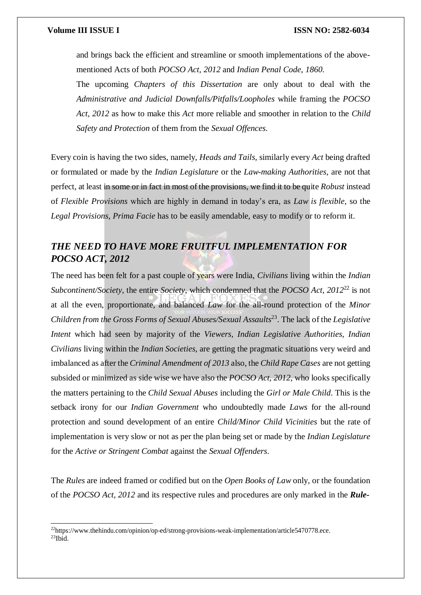and brings back the efficient and streamline or smooth implementations of the abovementioned Acts of both *POCSO Act, 2012* and *Indian Penal Code, 1860*.

The upcoming *Chapters of this Dissertation* are only about to deal with the *Administrative and Judicial Downfalls/Pitfalls/Loopholes* while framing the *POCSO Act, 2012* as how to make this *Act* more reliable and smoother in relation to the *Child Safety and Protection* of them from the *Sexual Offences*.

Every coin is having the two sides, namely, *Heads and Tails*, similarly every *Act* being drafted or formulated or made by the *Indian Legislature* or the *Law-making Authorities*, are not that perfect, at least in some or in fact in most of the provisions, we find it to be quite *Robust* instead of *Flexible Provisions* which are highly in demand in today's era, as *Law is flexible*, so the *Legal Provisions, Prima Facie* has to be easily amendable, easy to modify or to reform it.

## *THE NEED TO HAVE MORE FRUITFUL IMPLEMENTATION FOR POCSO ACT, 2012*

The need has been felt for a past couple of years were India, *Civilians* living within the *Indian Subcontinent/Society*, the entire *Society*, which condemned that the *POCSO Act, 2012*<sup>22</sup> is not at all the even, proportionate, and balanced *Law* for the all-round protection of the *Minor Children from the Gross Forms of Sexual Abuses/Sexual Assaults*<sup>23</sup> . The lack of the *Legislative Intent* which had seen by majority of the *Viewers, Indian Legislative Authorities, Indian Civilians* living within the *Indian Societies*, are getting the pragmatic situations very weird and imbalanced as after the *Criminal Amendment of 2013* also, the *Child Rape Cases* are not getting subsided or minimized as side wise we have also the *POCSO Act, 2012*, who looks specifically the matters pertaining to the *Child Sexual Abuses* including the *Girl or Male Child*. This is the setback irony for our *Indian Government* who undoubtedly made *Laws* for the all-round protection and sound development of an entire *Child/Minor Child Vicinities* but the rate of implementation is very slow or not as per the plan being set or made by the *Indian Legislature* for the *Active or Stringent Combat* against the *Sexual Offenders*.

The *Rules* are indeed framed or codified but on the *Open Books of Law* only, or the foundation of the *POCSO Act, 2012* and its respective rules and procedures are only marked in the *Rule-*

 $^{22}$ http[s://www.thehindu.com/opinion/op-ed/strong-provisions-weak-implementation/article5470778.ece.](http://www.thehindu.com/opinion/op-ed/strong-provisions-weak-implementation/article5470778.ece)  $23$ Ibid.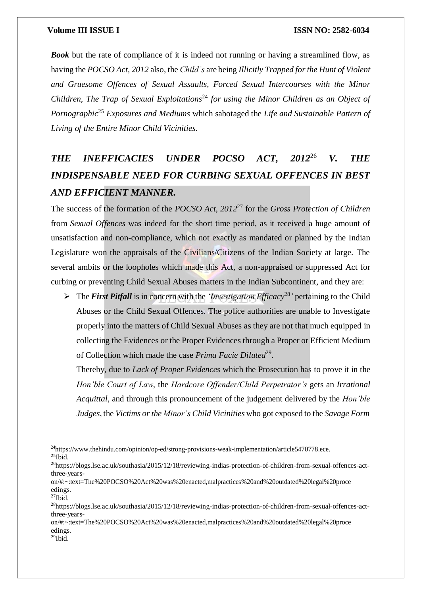**Book** but the rate of compliance of it is indeed not running or having a streamlined flow, as having the *POCSO Act, 2012* also, the *Child's* are being *Illicitly Trapped forthe Hunt of Violent and Gruesome Offences of Sexual Assaults, Forced Sexual Intercourses with the Minor Children, The Trap of Sexual Exploitations*<sup>24</sup> *for using the Minor Children as an Object of Pornographic*<sup>25</sup> *Exposures and Mediums* which sabotaged the *Life and Sustainable Pattern of Living of the Entire Minor Child Vicinities*.

## *THE INEFFICACIES UNDER POCSO ACT, 2012*<sup>26</sup> *V. THE INDISPENSABLE NEED FOR CURBING SEXUAL OFFENCES IN BEST AND EFFICIENT MANNER.*

The success of the formation of the *POCSO Act, 2012*<sup>27</sup> for the *Gross Protection of Children* from *Sexual Offences* was indeed for the short time period, as it received a huge amount of unsatisfaction and non-compliance, which not exactly as mandated or planned by the Indian Legislature won the appraisals of the Civilians/Citizens of the Indian Society at large. The several ambits or the loopholes which made this Act, a non-appraised or suppressed Act for curbing or preventing Child Sexual Abuses matters in the Indian Subcontinent, and they are:

 $\triangleright$  The *First Pitfall* is in concern with the *'Investigation Efficacy*<sup>28</sup>' pertaining to the Child Abuses or the Child Sexual Offences. The police authorities are unable to Investigate properly into the matters of Child Sexual Abuses as they are not that much equipped in collecting the Evidences or the Proper Evidences through a Proper or Efficient Medium of Collection which made the case *Prima Facie Diluted*<sup>29</sup>.

Thereby, due to *Lack of Proper Evidences* which the Prosecution has to prove it in the *Hon'ble Court of Law*, the *Hardcore Offender/Child Perpetrator's* gets an *Irrational Acquittal*, and through this pronouncement of the judgement delivered by the *Hon'ble Judges*, the *Victims orthe Minor's Child Vicinities* who got exposed to the *Savage Form*

<sup>&</sup>lt;sup>24</sup>http[s://www.thehindu.com/opinion/op-ed/strong-provisions-weak-implementation/article5470778.ece.](http://www.thehindu.com/opinion/op-ed/strong-provisions-weak-implementation/article5470778.ece)  $25$ Ibid.

<sup>26</sup>https://blogs.lse.ac.uk/southasia/2015/12/18/reviewing-indias-protection-of-children-from-sexual-offences-actthree-years-

on/#:~:text=The%20POCSO%20Act%20was%20enacted,malpractices%20and%20outdated%20legal%20proce edings.

 $^{27}$ Ibid.

<sup>28</sup>https://blogs.lse.ac.uk/southasia/2015/12/18/reviewing-indias-protection-of-children-from-sexual-offences-actthree-years-

on/#:~:text=The%20POCSO%20Act%20was%20enacted,malpractices%20and%20outdated%20legal%20proce edings.

 $^{29}$ Ibid.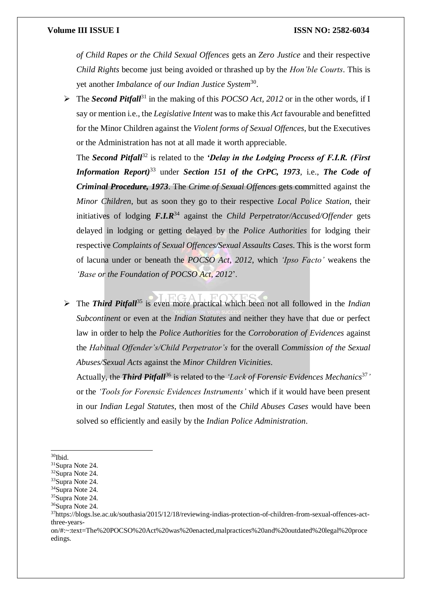*of Child Rapes or the Child Sexual Offences* gets an *Zero Justice* and their respective *Child Rights* become just being avoided or thrashed up by the *Hon'ble Courts*. This is yet another *Imbalance of our Indian Justice System*<sup>30</sup> .

 The *Second Pitfall*<sup>31</sup> in the making of this *POCSO Act, 2012* or in the other words, if I say or mention i.e., the *Legislative Intent* wasto make this *Act* favourable and benefitted for the Minor Children against the *Violent forms of Sexual Offences*, but the Executives or the Administration has not at all made it worth appreciable.

The *Second Pitfall*<sup>32</sup> is related to the *'Delay in the Lodging Process of F.I.R. (First Information Report)*<sup>33</sup> under *Section 151 of the CrPC, 1973*, i.e., *The Code of Criminal Procedure, 1973*. The *Crime of Sexual Offences* gets committed against the *Minor Children*, but as soon they go to their respective *Local Police Station*, their initiatives of lodging *F.I.R*<sup>34</sup> against the *Child Perpetrator/Accused/Offender* gets delayed in lodging or getting delayed by the *Police Authorities* for lodging their respective *Complaints of Sexual Offences/Sexual Assaults Cases*. This is the worst form of lacuna under or beneath the *POCSO Act, 2012*, which *'Ipso Facto'* weakens the *'Base or the Foundation of POCSO Act, 2012*'.

 The *Third Pitfall*<sup>35</sup> is even more practical which been not all followed in the *Indian Subcontinent* or even at the *Indian Statutes* and neither they have that due or perfect law in order to help the *Police Authorities* for the *Corroboration of Evidences* against the *Habitual Offender's/Child Perpetrator's* for the overall *Commission of the Sexual Abuses/Sexual Acts* against the *Minor Children Vicinities*.

Actually, the *Third Pitfall*<sup>36</sup> is related to the *'Lack of Forensic Evidences Mechanics*<sup>37</sup> *'* or the *'Tools for Forensic Evidences Instruments'* which if it would have been present in our *Indian Legal Statutes*, then most of the *Child Abuses Cases* would have been solved so efficiently and easily by the *Indian Police Administration*.

 $\rm{^{30}Ibid.}$ 

<sup>31</sup>Supra Note 24.

<sup>32</sup>Supra Note 24.

<sup>33</sup>Supra Note 24.

<sup>34</sup>Supra Note 24.

<sup>&</sup>lt;sup>35</sup>Supra Note 24.

<sup>36</sup>Supra Note 24.

<sup>37</sup>https://blogs.lse.ac.uk/southasia/2015/12/18/reviewing-indias-protection-of-children-from-sexual-offences-actthree-years-

on/#:~:text=The%20POCSO%20Act%20was%20enacted,malpractices%20and%20outdated%20legal%20proce edings.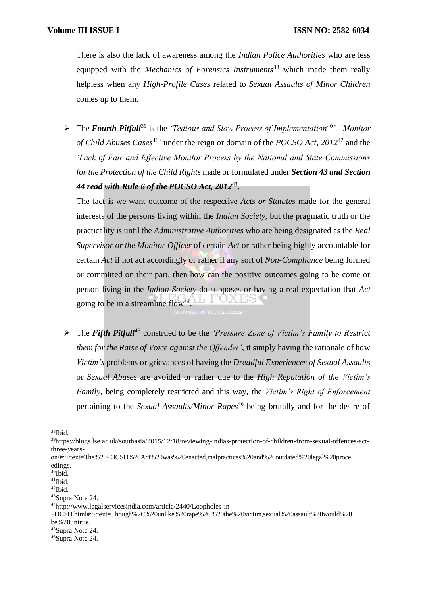There is also the lack of awareness among the *Indian Police Authorities* who are less equipped with the *Mechanics of Forensics Instruments*<sup>38</sup> which made them really helpless when any *High-Profile Cases* related to *Sexual Assaults of Minor Children* comes up to them.

 The *Fourth Pitfall*<sup>39</sup> is the *'Tedious and Slow Process of Implementation*<sup>40</sup>*', 'Monitor of Child Abuses Cases*<sup>41</sup>*'* under the reign or domain of the *POCSO Act, 2012*<sup>42</sup> and the *'Lack of Fair and Effective Monitor Process by the National and State Commissions for the Protection of the Child Rights* made or formulated under *Section 43 and Section 44 read with Rule 6 of the POCSO Act, 2012*<sup>43</sup> .

The fact is we want outcome of the respective *Acts or Statutes* made for the general interests of the persons living within the *Indian Society*, but the pragmatic truth or the practicality is until the *Administrative Authorities* who are being designated as the *Real Supervisor or the Monitor Officer* of certain *Act* or rather being highly accountable for certain *Act* if not act accordingly or rather if any sort of *Non-Compliance* being formed or committed on their part, then how can the positive outcomes going to be come or person living in the *Indian Society* do supposes or having a real expectation that *Act* going to be in a streamline flow<sup>44</sup>.

 The *Fifth Pitfall*<sup>45</sup> construed to be the *'Pressure Zone of Victim's Family to Restrict them for the Raise of Voice against the Offender'*, it simply having the rationale of how *Victim's* problems or grievances of having the *Dreadful Experiences of Sexual Assaults* or *Sexual Abuses* are avoided or rather due to the *High Reputation of the Victim's Family*, being completely restricted and this way, the *Victim's Right of Enforcement* pertaining to the *Sexual Assaults/Minor Rapes*<sup>46</sup> being brutally and for the desire of

on/#:~:text=The%20POCSO%20Act%20was%20enacted,malpractices%20and%20outdated%20legal%20proce edings.

<sup>38</sup>Ibid.

<sup>39</sup>https://blogs.lse.ac.uk/southasia/2015/12/18/reviewing-indias-protection-of-children-from-sexual-offences-actthree-years-

 $\rm ^{40}Ibid.$ 

 $41$ Ibid.

<sup>42</sup>Ibid.

<sup>43</sup>Supra Note 24.

<sup>44</sup><http://www.legalservicesindia.com/article/2440/Loopholes-in->

POCSO.html#:~:text=Though%2C%20unlike%20rape%2C%20the%20victim,sexual%20assault%20would%20 be%20untrue.

<sup>45</sup>Supra Note 24.

<sup>46</sup>Supra Note 24.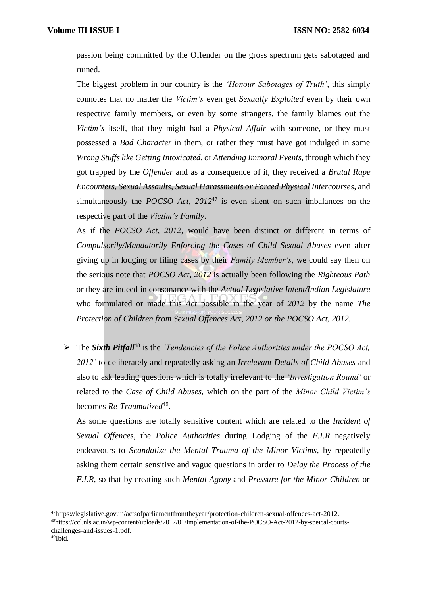passion being committed by the Offender on the gross spectrum gets sabotaged and ruined.

The biggest problem in our country is the *'Honour Sabotages of Truth'*, this simply connotes that no matter the *Victim's* even get *Sexually Exploited* even by their own respective family members, or even by some strangers, the family blames out the *Victim's* itself, that they might had a *Physical Affair* with someone, or they must possessed a *Bad Character* in them, or rather they must have got indulged in some *Wrong Stuffslike Getting Intoxicated*, or *Attending Immoral Events*, through which they got trapped by the *Offender* and as a consequence of it, they received a *Brutal Rape Encounters, Sexual Assaults, Sexual Harassments or Forced Physical Intercourses*, and simultaneously the *POCSO Act, 2012*<sup>47</sup> is even silent on such imbalances on the respective part of the *Victim's Family*.

As if the *POCSO Act, 2012*, would have been distinct or different in terms of *Compulsorily/Mandatorily Enforcing the Cases of Child Sexual Abuses* even after giving up in lodging or filing cases by their *Family Member's*, we could say then on the serious note that *POCSO Act, 2012* is actually been following the *Righteous Path* or they are indeed in consonance with the *Actual Legislative Intent/Indian Legislature* who formulated or made this *Act* possible in the year of *2012* by the name *The Protection of Children from Sexual Offences Act, 2012 or the POCSO Act, 2012*.

 The *Sixth Pitfall*<sup>48</sup> is the *'Tendencies of the Police Authorities under the POCSO Act, 2012'* to deliberately and repeatedly asking an *Irrelevant Details of Child Abuses* and also to ask leading questions which is totally irrelevant to the *'Investigation Round'* or related to the *Case of Child Abuses,* which on the part of the *Minor Child Victim's* becomes *Re-Traumatized*<sup>49</sup>.

As some questions are totally sensitive content which are related to the *Incident of Sexual Offences*, the *Police Authorities* during Lodging of the *F.I.R* negatively endeavours to *Scandalize the Mental Trauma of the Minor Victims*, by repeatedly asking them certain sensitive and vague questions in order to *Delay the Process of the F.I.R*, so that by creating such *Mental Agony* and *Pressure for the Minor Children* or

<sup>47</sup>https://legislative.gov.in/actsofparliamentfromtheyear/protection-children-sexual-offences-act-2012. 48https://ccl.nls.ac.in/wp-content/uploads/2017/01/Implementation-of-the-POCSO-Act-2012-by-speical-courtschallenges-and-issues-1.pdf. 49Ibid.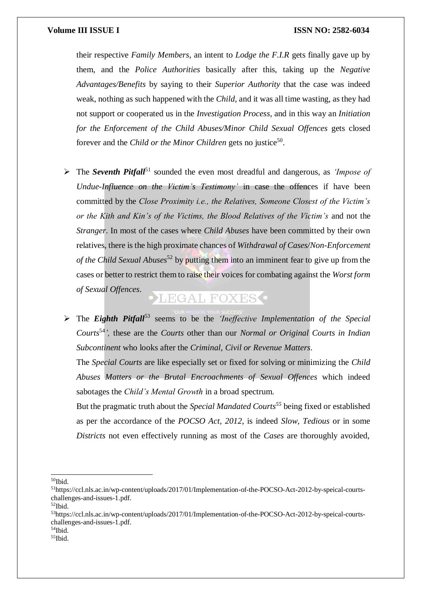their respective *Family Members*, an intent to *Lodge the F.I.R* gets finally gave up by them, and the *Police Authorities* basically after this, taking up the *Negative Advantages/Benefits* by saying to their *Superior Authority* that the case was indeed weak, nothing as such happened with the *Child*, and it was all time wasting, as they had not support or cooperated us in the *Investigation Process*, and in this way an *Initiation for the Enforcement of the Child Abuses/Minor Child Sexual Offences* gets closed forever and the *Child or the Minor Children* gets no justice<sup>50</sup>.

 The *Seventh Pitfall*<sup>51</sup> sounded the even most dreadful and dangerous, as *'Impose of Undue-Influence on the Victim's Testimony'* in case the offences if have been committed by the *Close Proximity i.e., the Relatives, Someone Closest of the Victim's or the Kith and Kin's of the Victims, the Blood Relatives of the Victim's* and not the *Stranger*. In most of the cases where *Child Abuses* have been committed by their own relatives, there is the high proximate chances of *Withdrawal of Cases/Non-Enforcement of the Child Sexual Abuses*<sup>52</sup> by putting them into an imminent fear to give up from the cases or better to restrict them to raise their voices for combating against the *Worst form of Sexual Offences*.

## LEGAL FOXES<sup>.</sup>

 The *Eighth Pitfall*<sup>53</sup> seems to be the *'Ineffective Implementation of the Special Courts*<sup>54</sup>*',* these are the *Courts* other than our *Normal or Original Courts in Indian Subcontinent* who looks after the *Criminal, Civil or Revenue Matters*.

The *Special Courts* are like especially set or fixed for solving or minimizing the *Child Abuses Matters or the Brutal Encroachments of Sexual Offences* which indeed sabotages the *Child's Mental Growth* in a broad spectrum.

But the pragmatic truth about the *Special Mandated Courts<sup>55</sup>* being fixed or established as per the accordance of the *POCSO Act, 2012*, is indeed *Slow, Tedious* or in some *Districts* not even effectively running as most of the *Cases* are thoroughly avoided,

 $\rm{^{50}Ibid.}$ 

<sup>51</sup>https://ccl.nls.ac.in/wp-content/uploads/2017/01/Implementation-of-the-POCSO-Act-2012-by-speical-courtschallenges-and-issues-1.pdf.

<sup>52</sup>Ibid.

<sup>53</sup>https://ccl.nls.ac.in/wp-content/uploads/2017/01/Implementation-of-the-POCSO-Act-2012-by-speical-courtschallenges-and-issues-1.pdf.

<sup>54</sup>Ibid.

<sup>55</sup>Ibid.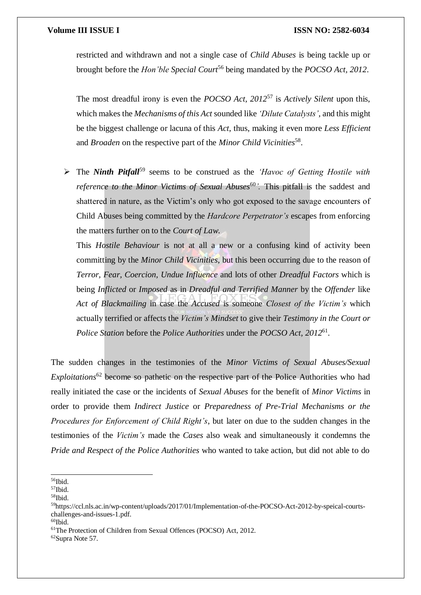restricted and withdrawn and not a single case of *Child Abuses* is being tackle up or brought before the *Hon'ble Special Court*<sup>56</sup> being mandated by the *POCSO Act, 2012*.

The most dreadful irony is even the *POCSO Act, 2012*<sup>57</sup> is *Actively Silent* upon this, which makes the *Mechanisms of this Act* sounded like *'Dilute Catalysts'*, and this might be the biggest challenge or lacuna of this *Act*, thus, making it even more *Less Efficient* and *Broaden* on the respective part of the *Minor Child Vicinities*<sup>58</sup> .

 The *Ninth Pitfall*<sup>59</sup> seems to be construed as the *'Havoc of Getting Hostile with reference to the Minor Victims of Sexual Abuses*<sup>60</sup>. This pitfall is the saddest and shattered in nature, as the Victim's only who got exposed to the savage encounters of Child Abuses being committed by the *Hardcore Perpetrator's* escapes from enforcing the matters further on to the *Court of Law*.

This *Hostile Behaviour* is not at all a new or a confusing kind of activity been committing by the *Minor Child Vicinities*, but this been occurring due to the reason of *Terror, Fear, Coercion, Undue Influence* and lots of other *Dreadful Factors* which is being *Inflicted* or *Imposed* as in *Dreadful and Terrified Manner* by the *Offender* like *Act of Blackmailing* in case the *Accused* is someone *Closest of the Victim's* which actually terrified or affects the *Victim's Mindset* to give their *Testimony in the Court or Police Station* before the *Police Authorities* under the *POCSO Act, 2012*<sup>61</sup> .

The sudden changes in the testimonies of the *Minor Victims of Sexual Abuses/Sexual Exploitations*<sup>62</sup> become so pathetic on the respective part of the Police Authorities who had really initiated the case or the incidents of *Sexual Abuses* for the benefit of *Minor Victims* in order to provide them *Indirect Justice* or *Preparedness of Pre-Trial Mechanisms or the Procedures for Enforcement of Child Right's*, but later on due to the sudden changes in the testimonies of the *Victim's* made the *Cases* also weak and simultaneously it condemns the *Pride and Respect of the Police Authorities* who wanted to take action, but did not able to do

<sup>56</sup>Ibid.

 $\rm ^{57}Ibid.$ 

<sup>58</sup>Ibid.

<sup>59</sup>https://ccl.nls.ac.in/wp-content/uploads/2017/01/Implementation-of-the-POCSO-Act-2012-by-speical-courtschallenges-and-issues-1.pdf.

 $60$ Ibid.

<sup>&</sup>lt;sup>61</sup>The Protection of Children from Sexual Offences (POCSO) Act, 2012.

<sup>62</sup>Supra Note 57.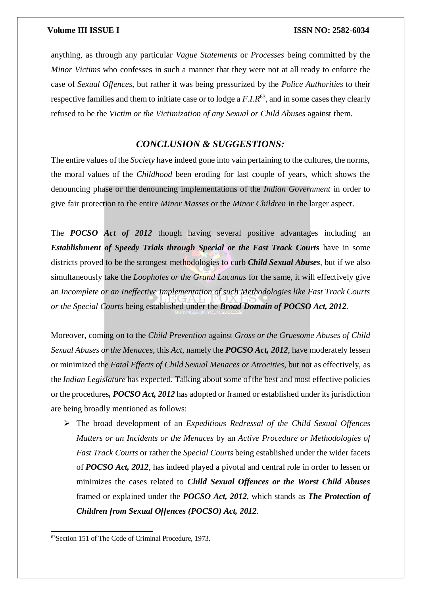anything, as through any particular *Vague Statements* or *Processes* being committed by the *Minor Victims* who confesses in such a manner that they were not at all ready to enforce the case of *Sexual Offences*, but rather it was being pressurized by the *Police Authorities* to their respective families and them to initiate case or to lodge a F.I.R<sup>63</sup>, and in some cases they clearly refused to be the *Victim or the Victimization of any Sexual or Child Abuses* against them.

### *CONCLUSION & SUGGESTIONS:*

The entire values of the *Society* have indeed gone into vain pertaining to the cultures, the norms, the moral values of the *Childhood* been eroding for last couple of years, which shows the denouncing phase or the denouncing implementations of the *Indian Government* in order to give fair protection to the entire *Minor Masses* or the *Minor Children* in the larger aspect.

The *POCSO Act of 2012* though having several positive advantages including an *Establishment of Speedy Trials through Special or the Fast Track Courts have in some* districts proved to be the strongest methodologies to curb *Child Sexual Abuses*, but if we also simultaneously take the *Loopholes or the Grand Lacunas* for the same, it will effectively give an *Incomplete or an Ineffective Implementation of such Methodologies like Fast Track Courts or the Special Courts* being established under the *Broad Domain of POCSO Act, 2012*.

Moreover, coming on to the *Child Prevention* against *Gross or the Gruesome Abuses of Child Sexual Abuses or the Menaces*, this *Act*, namely the *POCSO Act, 2012*, have moderately lessen or minimized the *Fatal Effects of Child Sexual Menaces or Atrocities*, but not as effectively, as the *Indian Legislature* has expected. Talking about some of the best and most effective policies or the procedures*, POCSO Act, 2012* has adopted or framed or established under its jurisdiction are being broadly mentioned as follows:

 The broad development of an *Expeditious Redressal of the Child Sexual Offences Matters or an Incidents or the Menaces* by an *Active Procedure or Methodologies of Fast Track Courts* or rather the *Special Courts* being established under the wider facets of *POCSO Act, 2012*, has indeed played a pivotal and central role in order to lessen or minimizes the cases related to *Child Sexual Offences or the Worst Child Abuses* framed or explained under the *POCSO Act, 2012*, which stands as *The Protection of Children from Sexual Offences (POCSO) Act, 2012*.

<sup>63</sup>Section 151 of The Code of Criminal Procedure, 1973.